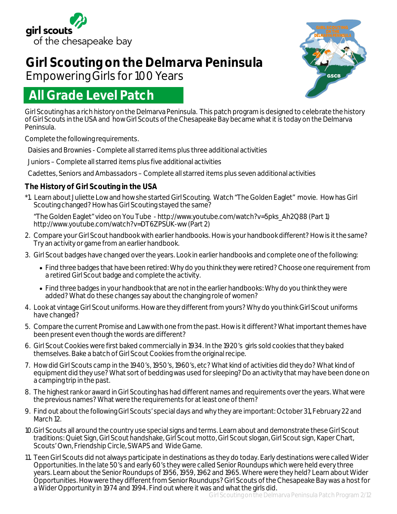

# **Girl Scouting on the Delmarva Peninsula**

Empowering Girls for 100 Years

# **All Grade Level Patch**

Girl Scouting has a rich history on the Delmarva Peninsula. This patch program is designed to celebrate the history of Girl Scouts in the USA and how Girl Scouts of the Chesapeake Bay became what it is today on the Delmarva Peninsula.

Complete the following requirements.

Daisies and Brownies - Complete all starred items plus three additional activities

Juniors – Complete all starred items plus five additional activities

Cadettes, Seniors and Ambassadors – Complete all starred items plus seven additional activities

## **The History of Girl Scouting in the USA**

\*1. Learn about Juliette Low and how she started Girl Scouting. Watch "The Golden Eaglet" movie. How has Girl Scouting changed? How has Girl Scouting stayed the same?

"The Golden Eaglet" video on You Tube - http://www.youtube.com/watch?v=5pks\_Ah2Q88 (Part 1) http://www.youtube.com/watch?v=DT6ZPSUK-ww (Part 2)

- 2. Compare your Girl Scout handbook with earlier handbooks. How is your handbook different? How is it the same? Try an activity or game from an earlier handbook.
- 3. Girl Scout badges have changed over the years. Look in earlier handbooks and complete one of the following:
	- Find three badges that have been retired: Why do you think they were retired? Choose one requirement from a retired Girl Scout badge and complete the activity.
	- Find three badges in your handbook that are not in the earlier handbooks: Why do you think they were added? What do these changes say about the changing role of women?
- 4. Look at vintage Girl Scout uniforms. How are they different from yours? Why do you think Girl Scout uniforms have changed?
- 5. Compare the current Promise and Law with one from the past. How is it different? What important themes have been present even though the words are different?
- 6. Girl Scout Cookies were first baked commercially in 1934. In the 1920's girls sold cookies that they baked themselves. Bake a batch of Girl Scout Cookies from the original recipe.
- 7. How did Girl Scouts camp in the 1940's, 1950's, 1960's, etc? What kind of activities did they do? What kind of equipment did they use? What sort of bedding was used for sleeping? Do an activity that may have been done on a camping trip in the past.
- 8. The highest rank or award in Girl Scouting has had different names and requirements over the years. What were the previous names? What were the requirements for at least one of them?
- 9. Find out about the following Girl Scouts' special days and why they are important: October 31, February 22 and March 12.
- 10.Girl Scouts all around the country use special signs and terms. Learn about and demonstrate these Girl Scout traditions: Quiet Sign, Girl Scout handshake, Girl Scout motto, Girl Scout slogan, Girl Scout sign, Kaper Chart, Scouts' Own, Friendship Circle, SWAPS and Wide Game.
- 11. Teen Girl Scouts did not always participate in *destinations* as they do today. Early *destinations* were called Wider Opportunities. In the late 50's and early 60's they were called Senior Roundups which were held every three years. Learn about the Senior Roundups of 1956, 1959, 1962 and 1965. Where were they held? Learn about Wider Opportunities. How were they different from Senior Roundups? Girl Scouts of the Chesapeake Bay was a host for a Wider Opportunity in 1974 and 1994. Find out where it was and what the girls did.

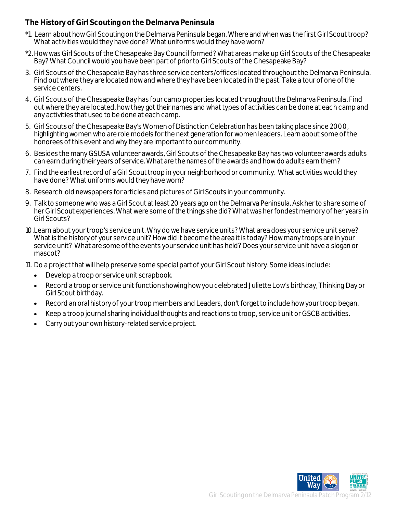## **The History of Girl Scouting on the Delmarva Peninsula**

- \*1. Learn about how Girl Scouting on the Delmarva Peninsula began. Where and when was the first Girl Scout troop? What activities would they have done? What uniforms would they have worn?
- \*2.How was Girl Scouts of the Chesapeake Bay Council formed? What areas make up Girl Scouts of the Chesapeake Bay? What Council would you have been part of prior to Girl Scouts of the Chesapeake Bay?
- 3. Girl Scouts of the Chesapeake Bay has three service centers/offices located throughout the Delmarva Peninsula. Find out where they are located now and where they have been located in the past. Take a tour of one of the service centers.
- 4. Girl Scouts of the Chesapeake Bay has four camp properties located throughout the Delmarva Peninsula. Find out where they are located, how they got their names and what types of activities can be done at each camp and any activities that used to be done at each camp.
- 5. Girl Scouts of the Chesapeake Bay's Women of Distinction Celebration has been taking place since 2000, highlighting women who are role models for the next generation for women leaders. Learn about some of the honorees of this event and why they are important to our community.
- 6. Besides the many GSUSA volunteer awards, Girl Scouts of the Chesapeake Bay has two volunteer awards adults can earn during their years of service. What are the names of the awards and how do adults earn them?
- 7. Find the earliest record of a Girl Scout troop in your neighborhood or community. What activities would they have done? What uniforms would they have worn?
- 8. Research old newspapers for articles and pictures of Girl Scouts in your community.
- 9. Talk to someone who was a Girl Scout at least 20 years ago on the Delmarva Peninsula. Ask her to share some of her Girl Scout experiences. What were some of the things she did? What was her fondest memory of her years in Girl Scouts?
- 10.Learn about your troop's service unit. Why do we have service units? What area does your service unit serve? What is the history of your service unit? How did it become the area it is today? How many troops are in your service unit? What are some of the events your service unit has held? Does your service unit have a slogan or mascot?
- 11. Do a project that will help preserve some special part of your Girl Scout history. Some ideas include:
	- Develop a troop or service unit scrapbook.
	- Record a troop or service unit function showing how you celebrated Juliette Low's birthday, Thinking Day or Girl Scout birthday.
	- Record an oral history of your troop members and Leaders, don't forget to include how your troop began.
	- Keep a troop journal sharing individual thoughts and reactions to troop, service unit or GSCB activities.
	- Carry out your own history-related service project.